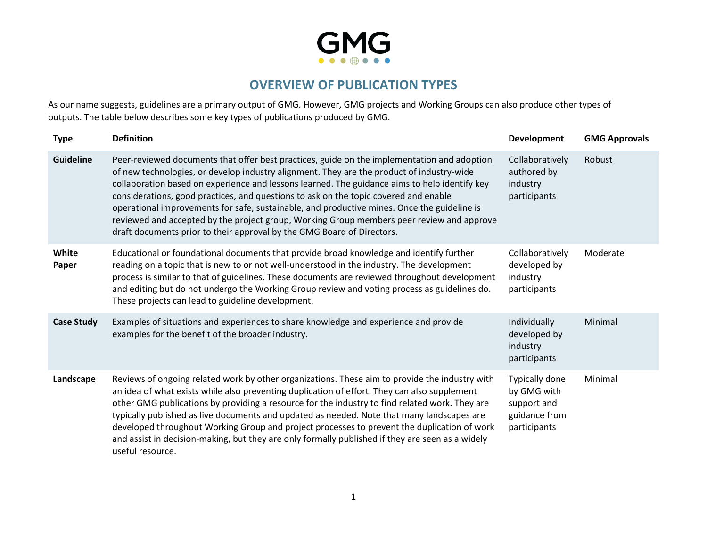

## **OVERVIEW OF PUBLICATION TYPES**

As our name suggests, guidelines are a primary output of GMG. However, GMG projects and Working Groups can also produce other types of outputs. The table below describes some key types of publications produced by GMG.

| <b>Type</b>       | <b>Definition</b>                                                                                                                                                                                                                                                                                                                                                                                                                                                                                                                                                                                                                                       | Development                                                                   | <b>GMG Approvals</b> |
|-------------------|---------------------------------------------------------------------------------------------------------------------------------------------------------------------------------------------------------------------------------------------------------------------------------------------------------------------------------------------------------------------------------------------------------------------------------------------------------------------------------------------------------------------------------------------------------------------------------------------------------------------------------------------------------|-------------------------------------------------------------------------------|----------------------|
| <b>Guideline</b>  | Peer-reviewed documents that offer best practices, guide on the implementation and adoption<br>of new technologies, or develop industry alignment. They are the product of industry-wide<br>collaboration based on experience and lessons learned. The guidance aims to help identify key<br>considerations, good practices, and questions to ask on the topic covered and enable<br>operational improvements for safe, sustainable, and productive mines. Once the guideline is<br>reviewed and accepted by the project group, Working Group members peer review and approve<br>draft documents prior to their approval by the GMG Board of Directors. | Collaboratively<br>authored by<br>industry<br>participants                    | Robust               |
| White<br>Paper    | Educational or foundational documents that provide broad knowledge and identify further<br>reading on a topic that is new to or not well-understood in the industry. The development<br>process is similar to that of guidelines. These documents are reviewed throughout development<br>and editing but do not undergo the Working Group review and voting process as guidelines do.<br>These projects can lead to guideline development.                                                                                                                                                                                                              | Collaboratively<br>developed by<br>industry<br>participants                   | Moderate             |
| <b>Case Study</b> | Examples of situations and experiences to share knowledge and experience and provide<br>examples for the benefit of the broader industry.                                                                                                                                                                                                                                                                                                                                                                                                                                                                                                               | Individually<br>developed by<br>industry<br>participants                      | Minimal              |
| Landscape         | Reviews of ongoing related work by other organizations. These aim to provide the industry with<br>an idea of what exists while also preventing duplication of effort. They can also supplement<br>other GMG publications by providing a resource for the industry to find related work. They are<br>typically published as live documents and updated as needed. Note that many landscapes are<br>developed throughout Working Group and project processes to prevent the duplication of work<br>and assist in decision-making, but they are only formally published if they are seen as a widely<br>useful resource.                                   | Typically done<br>by GMG with<br>support and<br>guidance from<br>participants | Minimal              |